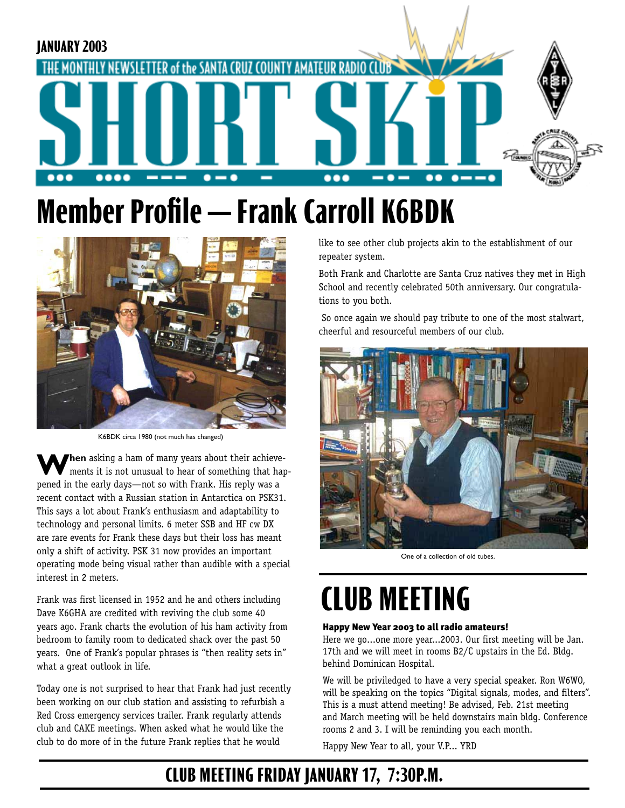

## **Member Profile — Frank Carroll K6BDK**



K6BDK circa 1980 (not much has changed)

**When** asking a ham of many years about their achieve-<br>ments it is not unusual to hear of something that hap-<br>mend in the exily days, not so with Frank His reply was a pened in the early days—not so with Frank. His reply was a recent contact with a Russian station in Antarctica on PSK31. This says a lot about Frank's enthusiasm and adaptability to technology and personal limits. 6 meter SSB and HF cw DX are rare events for Frank these days but their loss has meant only a shift of activity. PSK 31 now provides an important operating mode being visual rather than audible with a special interest in 2 meters.

Frank was first licensed in 1952 and he and others including Dave K6GHA are credited with reviving the club some 40 years ago. Frank charts the evolution of his ham activity from bedroom to family room to dedicated shack over the past 50 years. One of Frank's popular phrases is "then reality sets in" what a great outlook in life.

Today one is not surprised to hear that Frank had just recently been working on our club station and assisting to refurbish a Red Cross emergency services trailer. Frank regularly attends club and CAKE meetings. When asked what he would like the club to do more of in the future Frank replies that he would

like to see other club projects akin to the establishment of our repeater system.

Both Frank and Charlotte are Santa Cruz natives they met in High School and recently celebrated 50th anniversary. Our congratulations to you both.

 So once again we should pay tribute to one of the most stalwart, cheerful and resourceful members of our club.



One of a collection of old tubes.

## **CLUB MEETING**

#### Happy New Year 2003 to all radio amateurs!

Here we go...one more year...2003. Our first meeting will be Jan. 17th and we will meet in rooms B2/C upstairs in the Ed. Bldg. behind Dominican Hospital.

We will be priviledged to have a very special speaker. Ron W6WO, will be speaking on the topics "Digital signals, modes, and filters". This is a must attend meeting! Be advised, Feb. 21st meeting and March meeting will be held downstairs main bldg. Conference rooms 2 and 3. I will be reminding you each month.

Happy New Year to all, your V.P... YRD

### **CLUB MEETING FRIDAY JANUARY 17, 7:30P.M.**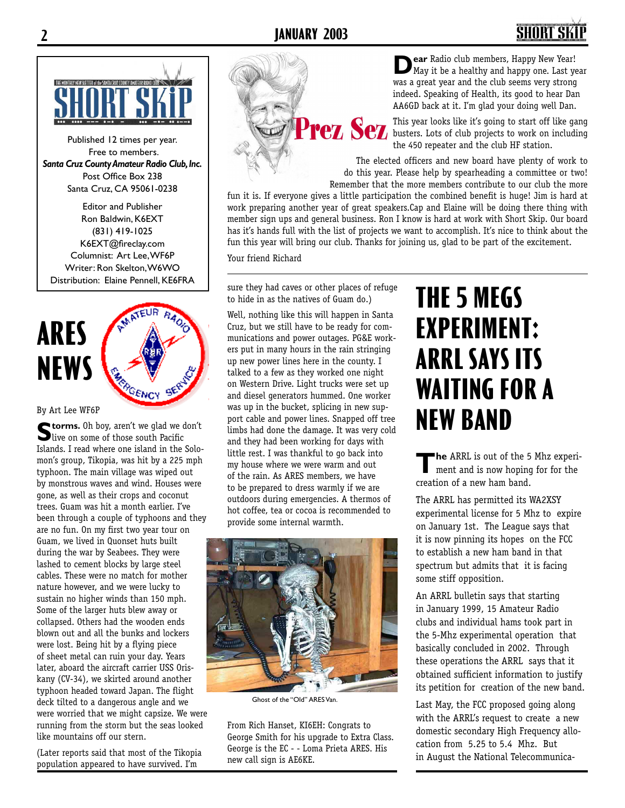

Published 12 times per year. Free to members. *Santa Cruz County Amateur Radio Club, Inc.* Post Office Box 238 Santa Cruz, CA 95061-0238

Editor and Publisher Ron Baldwin, K6EXT (831) 419-1025 K6EXT@fireclay.com Columnist: Art Lee, WF6P Writer: Ron Skelton, W6WO Distribution: Elaine Pennell, KE6FRA



#### By Art Lee WF6P

**Storms.** Oh boy, aren't we glad we don't<br>live on some of those south Pacific<br>Islands. I read where are island in the Solo. Islands. I read where one island in the Solomon's group, Tikopia, was hit by a 225 mph typhoon. The main village was wiped out by monstrous waves and wind. Houses were gone, as well as their crops and coconut trees. Guam was hit a month earlier. I've been through a couple of typhoons and they are no fun. On my first two year tour on Guam, we lived in Quonset huts built during the war by Seabees. They were lashed to cement blocks by large steel cables. These were no match for mother nature however, and we were lucky to sustain no higher winds than 150 mph. Some of the larger huts blew away or collapsed. Others had the wooden ends blown out and all the bunks and lockers were lost. Being hit by a flying piece of sheet metal can ruin your day. Years later, aboard the aircraft carrier USS Oriskany (CV-34), we skirted around another typhoon headed toward Japan. The flight deck tilted to a dangerous angle and we were worried that we might capsize. We were running from the storm but the seas looked like mountains off our stern.

(Later reports said that most of the Tikopia population appeared to have survived. I'm

**Dear** Radio club members, Happy New Year!<br>
Way it be a healthy and happy one. Last year<br>
Way a great year and the club seems year strong was a great year and the club seems very strong indeed. Speaking of Health, its good to hear Dan AA6GD back at it. I'm glad your doing well Dan.

This year looks like it's going to start off like gang busters. Lots of club projects to work on including the 450 repeater and the club HF station.

The elected officers and new board have plenty of work to do this year. Please help by spearheading a committee or two! Remember that the more members contribute to our club the more

fun it is. If everyone gives a little participation the combined benefit is huge! Jim is hard at work preparing another year of great speakers.Cap and Elaine will be doing there thing with member sign ups and general business. Ron I know is hard at work with Short Skip. Our board has it's hands full with the list of projects we want to accomplish. It's nice to think about the fun this year will bring our club. Thanks for joining us, glad to be part of the excitement.

Your friend Richard

sure they had caves or other places of refuge to hide in as the natives of Guam do.)

Well, nothing like this will happen in Santa Cruz, but we still have to be ready for communications and power outages. PG&E workers put in many hours in the rain stringing up new power lines here in the county. I talked to a few as they worked one night on Western Drive. Light trucks were set up and diesel generators hummed. One worker was up in the bucket, splicing in new support cable and power lines. Snapped off tree limbs had done the damage. It was very cold and they had been working for days with little rest. I was thankful to go back into my house where we were warm and out of the rain. As ARES members, we have to be prepared to dress warmly if we are outdoors during emergencies. A thermos of hot coffee, tea or cocoa is recommended to provide some internal warmth.



Ghost of the "Old" ARES Van.

From Rich Hanset, KI6EH: Congrats to George Smith for his upgrade to Extra Class. George is the EC - - Loma Prieta ARES. His new call sign is AE6KE.

## **THE 5 MEGS EXPERIMENT: ARRL SAYS ITS WAITING FOR A NEW BAND**

**The** ARRL is out of the 5 Mhz experi-<br>ment and is now hoping for for the<br>experience for now home hand creation of a new ham band.

The ARRL has permitted its WA2XSY experimental license for 5 Mhz to expire on January 1st. The League says that it is now pinning its hopes on the FCC to establish a new ham band in that spectrum but admits that it is facing some stiff opposition.

An ARRL bulletin says that starting in January 1999, 15 Amateur Radio clubs and individual hams took part in the 5-Mhz experimental operation that basically concluded in 2002. Through these operations the ARRL says that it obtained sufficient information to justify its petition for creation of the new band.

Last May, the FCC proposed going along with the ARRL's request to create a new domestic secondary High Frequency allocation from 5.25 to 5.4 Mhz. But in August the National Telecommunica-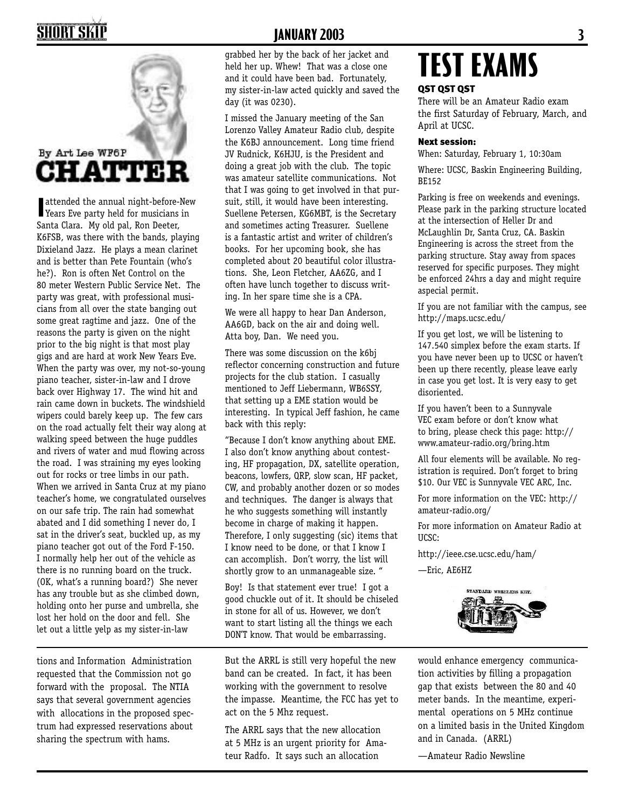## **SHORT SKII**



**I** attended the annual night-before-New Years Eve party held for musicians in<br>Santa Clara My old pal Pen Dester Santa Clara. My old pal, Ron Deeter, K6FSB, was there with the bands, playing Dixieland Jazz. He plays a mean clarinet and is better than Pete Fountain (who's he?). Ron is often Net Control on the 80 meter Western Public Service Net. The party was great, with professional musicians from all over the state banging out some great ragtime and jazz. One of the reasons the party is given on the night prior to the big night is that most play gigs and are hard at work New Years Eve. When the party was over, my not-so-young piano teacher, sister-in-law and I drove back over Highway 17. The wind hit and rain came down in buckets. The windshield wipers could barely keep up. The few cars on the road actually felt their way along at walking speed between the huge puddles and rivers of water and mud flowing across the road. I was straining my eyes looking out for rocks or tree limbs in our path. When we arrived in Santa Cruz at my piano teacher's home, we congratulated ourselves on our safe trip. The rain had somewhat abated and I did something I never do, I sat in the driver's seat, buckled up, as my piano teacher got out of the Ford F-150. I normally help her out of the vehicle as there is no running board on the truck. (OK, what's a running board?) She never has any trouble but as she climbed down, holding onto her purse and umbrella, she lost her hold on the door and fell. She let out a little yelp as my sister-in-law

tions and Information Administration requested that the Commission not go forward with the proposal. The NTIA says that several government agencies with allocations in the proposed spectrum had expressed reservations about sharing the spectrum with hams.

### **JANUARY 2003 3**

grabbed her by the back of her jacket and held her up. Whew! That was a close one and it could have been bad. Fortunately, my sister-in-law acted quickly and saved the day (it was 0230).

I missed the January meeting of the San Lorenzo Valley Amateur Radio club, despite the K6BJ announcement. Long time friend JV Rudnick, K6HJU, is the President and doing a great job with the club. The topic was amateur satellite communications. Not that I was going to get involved in that pursuit, still, it would have been interesting. Suellene Petersen, KG6MBT, is the Secretary and sometimes acting Treasurer. Suellene is a fantastic artist and writer of children's books. For her upcoming book, she has completed about 20 beautiful color illustrations. She, Leon Fletcher, AA6ZG, and I often have lunch together to discuss writing. In her spare time she is a CPA.

We were all happy to hear Dan Anderson, AA6GD, back on the air and doing well. Atta boy, Dan. We need you.

There was some discussion on the k6bj reflector concerning construction and future projects for the club station. I casually mentioned to Jeff Liebermann, WB6SSY, that setting up a EME station would be interesting. In typical Jeff fashion, he came back with this reply:

"Because I don't know anything about EME. I also don't know anything about contesting, HF propagation, DX, satellite operation, beacons, lowfers, QRP, slow scan, HF packet, CW, and probably another dozen or so modes and techniques. The danger is always that he who suggests something will instantly become in charge of making it happen. Therefore, I only suggesting (sic) items that I know need to be done, or that I know I can accomplish. Don't worry, the list will shortly grow to an unmanageable size. "

Boy! Is that statement ever true! I got a good chuckle out of it. It should be chiseled in stone for all of us. However, we don't want to start listing all the things we each DON'T know. That would be embarrassing.

But the ARRL is still very hopeful the new band can be created. In fact, it has been working with the government to resolve the impasse. Meantime, the FCC has yet to act on the 5 Mhz request.

The ARRL says that the new allocation at 5 MHz is an urgent priority for Amateur Radfo. It says such an allocation

# **TEST EXAMS**

#### QST QST QST

There will be an Amateur Radio exam the first Saturday of February, March, and April at UCSC.

#### Next session:

When: Saturday, February 1, 10:30am

Where: UCSC, Baskin Engineering Building, BE152

Parking is free on weekends and evenings. Please park in the parking structure located at the intersection of Heller Dr and McLaughlin Dr, Santa Cruz, CA. Baskin Engineering is across the street from the parking structure. Stay away from spaces reserved for specific purposes. They might be enforced 24hrs a day and might require aspecial permit.

If you are not familiar with the campus, see http://maps.ucsc.edu/

If you get lost, we will be listening to 147.540 simplex before the exam starts. If you have never been up to UCSC or haven't been up there recently, please leave early in case you get lost. It is very easy to get disoriented.

If you haven't been to a Sunnyvale VEC exam before or don't know what to bring, please check this page: http:// www.amateur-radio.org/bring.htm

All four elements will be available. No registration is required. Don't forget to bring \$10. Our VEC is Sunnyvale VEC ARC, Inc.

For more information on the VEC: http:// amateur-radio.org/

For more information on Amateur Radio at UCSC:

http://ieee.cse.ucsc.edu/ham/

—Eric, AE6HZ



would enhance emergency communication activities by filling a propagation gap that exists between the 80 and 40 meter bands. In the meantime, experimental operations on 5 MHz continue on a limited basis in the United Kingdom and in Canada. (ARRL)

—Amateur Radio Newsline